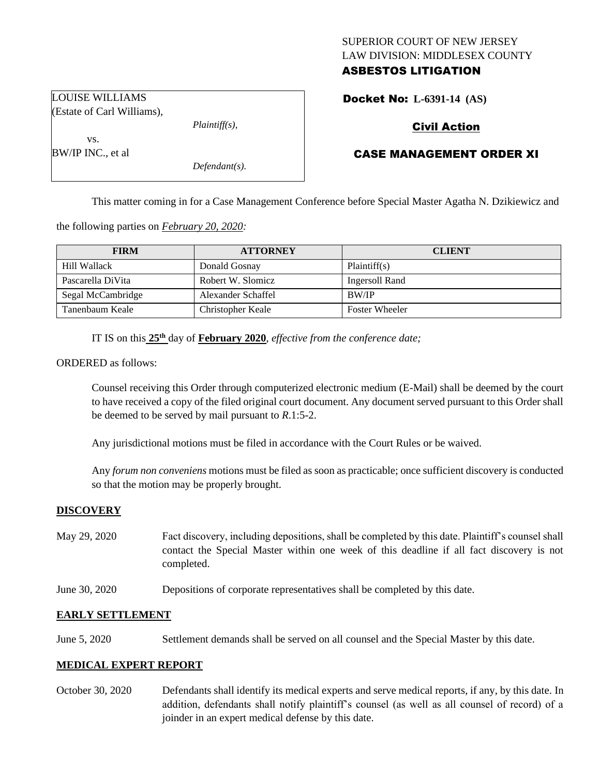# SUPERIOR COURT OF NEW JERSEY LAW DIVISION: MIDDLESEX COUNTY ASBESTOS LITIGATION

Docket No: **L-6391-14 (AS)** 

# Civil Action

# CASE MANAGEMENT ORDER XI

This matter coming in for a Case Management Conference before Special Master Agatha N. Dzikiewicz and

the following parties on *February 20, 2020:*

| <b>FIRM</b>       | <b>ATTORNEY</b>    | <b>CLIENT</b>         |
|-------------------|--------------------|-----------------------|
| Hill Wallack      | Donald Gosnay      | Plaintiff(s)          |
| Pascarella DiVita | Robert W. Slomicz  | Ingersoll Rand        |
| Segal McCambridge | Alexander Schaffel | BW/IP                 |
| Tanenbaum Keale   | Christopher Keale  | <b>Foster Wheeler</b> |

IT IS on this  $25<sup>th</sup>$  day of **February 2020**, *effective from the conference date*;

ORDERED as follows:

Counsel receiving this Order through computerized electronic medium (E-Mail) shall be deemed by the court to have received a copy of the filed original court document. Any document served pursuant to this Order shall be deemed to be served by mail pursuant to *R*.1:5-2.

Any jurisdictional motions must be filed in accordance with the Court Rules or be waived.

Any *forum non conveniens* motions must be filed as soon as practicable; once sufficient discovery is conducted so that the motion may be properly brought.

#### **DISCOVERY**

- May 29, 2020 Fact discovery, including depositions, shall be completed by this date. Plaintiff's counsel shall contact the Special Master within one week of this deadline if all fact discovery is not completed.
- June 30, 2020 Depositions of corporate representatives shall be completed by this date.

## **EARLY SETTLEMENT**

June 5, 2020 Settlement demands shall be served on all counsel and the Special Master by this date.

### **MEDICAL EXPERT REPORT**

October 30, 2020 Defendants shall identify its medical experts and serve medical reports, if any, by this date. In addition, defendants shall notify plaintiff's counsel (as well as all counsel of record) of a joinder in an expert medical defense by this date.

LOUISE WILLIAMS (Estate of Carl Williams),

*Plaintiff(s),*

*Defendant(s).*